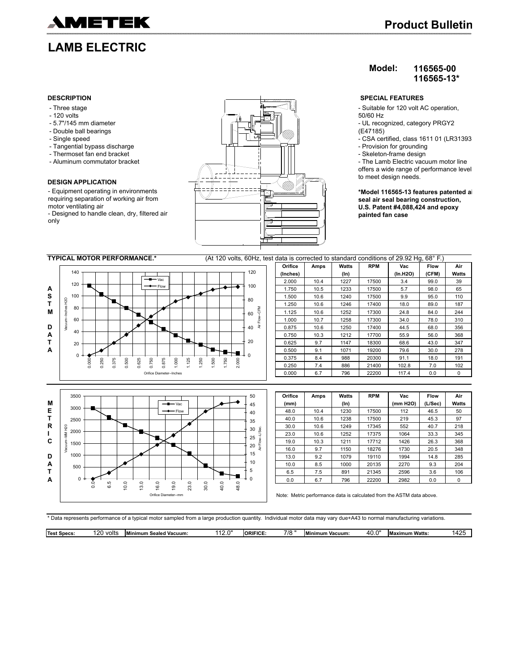

- Three stage
- 120 volts
- 5.7"/145 mm diameter
- Double ball bearings
- Single speed
- Tangential bypass discharge
- Thermoset fan end bracket
- Aluminum commutator bracket

#### **DESIGN APPLICATION**

- Equipment operating in environments requiring separation of working air from motor ventilating air

- Designed to handle clean, dry, filtered air only



# **Product Bulletin**

### **Model: 116565-00 116565-13\***

- Suitable for 120 volt AC operation,
- 50/60 Hz
- UL recognized, category PRGY2 (E47185)
- CSA certified, class 1611 01 (LR31393) - Provision for grounding
- Skeleton-frame design
- The Lamb Electric vacuum motor line
- offers a wide range of performance levels to meet design needs.

**\*Model 116565-13 features patented air seal air seal bearing construction, U.S. Patent #4,088,424 and epoxy painted fan case**





| Orifice | Amps | Watts   | <b>RPM</b> | Vac      | <b>Flow</b> | Air   |
|---------|------|---------|------------|----------|-------------|-------|
| (mm)    |      | $(\ln)$ |            | (mm H2O) | (L/Sec)     | Watts |
| 48.0    | 10.4 | 1230    | 17500      | 112      | 46.5        | 50    |
| 40.0    | 10.6 | 1238    | 17500      | 219      | 45.3        | 97    |
| 30.0    | 10.6 | 1249    | 17345      | 552      | 40.7        | 218   |
| 23.0    | 10.6 | 1252    | 17375      | 1064     | 33.3        | 345   |
| 19.0    | 10.3 | 1211    | 17712      | 1426     | 26.3        | 368   |
| 16.0    | 9.7  | 1150    | 18276      | 1730     | 20.5        | 348   |
| 13.0    | 9.2  | 1079    | 19110      | 1994     | 14.8        | 285   |
| 10.0    | 8.5  | 1000    | 20135      | 2270     | 9.3         | 204   |
| 6.5     | 7.5  | 891     | 21345      | 2596     | 3.6         | 106   |
| 0.0     | 6.7  | 796     | 22200      | 2982     | 0.0         | 0     |

Note: Metric performance data is calculated from the ASTM data above.

\* Data represents performance of a typical motor sampled from a large production quantity. Individual motor data may vary due+A43 to normal manufacturing variations.

| 7/8<br>- -<br>$\sim$<br>$\sim$<br>Test.<br>volts<br>ORIFICI<br>. .<br>Watts<br>z<br>.<br>,,,,<br>:uum:<br>Vacuum:<br>Specs:<br>ealed<br>'inimum<br>ı Minir<br><b>Maximum</b><br>nur<br>−∪.⊾ | $\sim$ $\sim$ $\sim$<br>. L<br>. . |
|---------------------------------------------------------------------------------------------------------------------------------------------------------------------------------------------|------------------------------------|
|---------------------------------------------------------------------------------------------------------------------------------------------------------------------------------------------|------------------------------------|